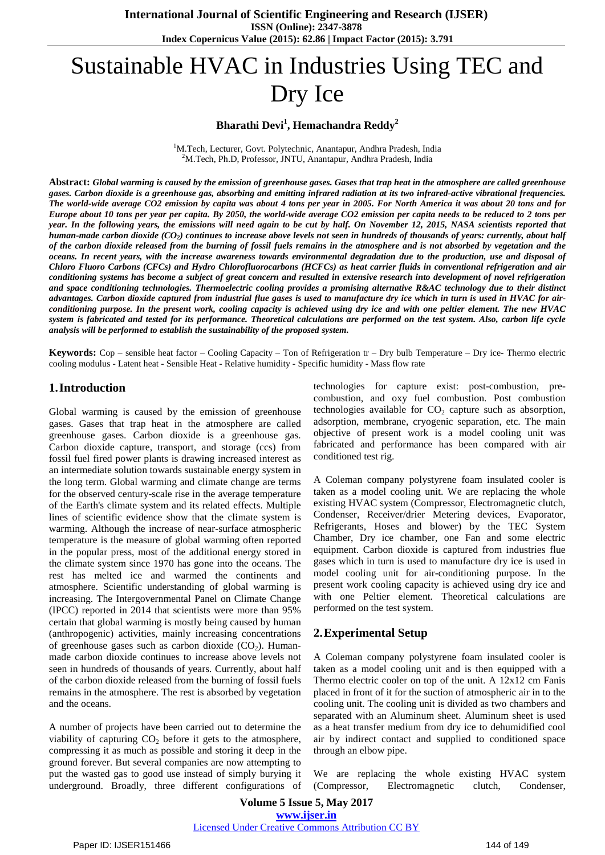# Sustainable HVAC in Industries Using TEC and Dry Ice

# **Bharathi Devi<sup>1</sup> , Hemachandra Reddy<sup>2</sup>**

<sup>1</sup>M.Tech, Lecturer, Govt. Polytechnic, Anantapur, Andhra Pradesh, India <sup>2</sup>M.Tech, Ph.D, Professor, JNTU, Anantapur, Andhra Pradesh, India

Abstract: Global warming is caused by the emission of [greenhouse](http://timeforchange.org/cause-and-effect-for-global-warming) gases. Gases that trap heat in the atmosphere are called greenhouse gases. Carbon dioxide is a [greenhouse](https://en.wikipedia.org/wiki/Greenhouse_gas) gas, absorbing and emitting infrared radiation at its two infrared-active vibrational frequencies. The world-wide average CO2 emission by capita was about 4 tons per year in 2005. For North America it was about 20 tons and for Europe about 10 tons per year per capita. By 2050, the world-wide average CO2 emission per capita needs to be reduced to 2 tons per year. In the following years, the emissions will need again to be cut by half. On November 12, 2015, NASA [scientists](https://en.wikipedia.org/wiki/NASA) reported that human-made carbon dioxide (CO<sub>2</sub>) continues to increase above levels not seen in hundreds of thousands of years: currently, about half of the carbon dioxide released from the [burning](https://en.wikipedia.org/wiki/Global_warming) of fossil fuels remains in the [atmosphere](https://en.wikipedia.org/wiki/Atmosphere) and is not absorbed by vegetation and the oceans. In recent years, with the increase awareness towards environmental degradation due to the production, use and disposal of Chloro Fluoro Carbons (CFCs) and Hydro Chlorofluorocarbons (HCFCs) as heat carrier fluids in conventional refrigeration and air conditioning systems has become a subject of great concern and resulted in extensive research into development of novel refrigeration and space conditioning technologies. Thermoelectric cooling provides a promising alternative R&AC technology due to their distinct advantages. Carbon dioxide captured from industrial flue gases is used to manufacture dry ice which in turn is used in HVAC for airconditioning purpose. In the present work, cooling capacity is achieved using dry ice and with one peltier element. The new HVAC system is fabricated and tested for its performance. Theoretical calculations are performed on the test system. Also, carbon life cycle *analysis will be performed to establish the sustainability of the proposed system.*

**Keywords:** Cop – sensible heat factor – Cooling Capacity – Ton of Refrigeration tr – Dry bulb Temperature – Dry ice- Thermo electric cooling modulus - Latent heat - Sensible Heat - Relative humidity - Specific humidity - Mass flow rate

#### **1.Introduction**

Global warming is caused by the emission of greenhouse gases. Gases that trap heat in the atmosphere are called greenhouse gases. Carbon dioxide is a greenhouse gas. Carbon dioxide capture, transport, and storage (ccs) from fossil fuel fired power plants is drawing increased interest as an intermediate solution towards sustainable energy system in the long term. Global warming and climate change are terms for the observed century-scale rise in the average temperature of the Earth's climate system and its related effects. Multiple lines of scientific evidence show that the climate system is warming. Although the increase of near-surface atmospheric temperature is the measure of global warming often reported in the popular press, most of the additional energy stored in the climate system since 1970 has gone into the oceans. The rest has melted ice and warmed the continents and atmosphere. Scientific understanding of global warming is increasing. The Intergovernmental Panel on Climate Change (IPCC) reported in 2014 that scientists were more than 95% certain that global warming is mostly being caused by human (anthropogenic) activities, mainly increasing concentrations of greenhouse gases such as carbon dioxide  $(CO<sub>2</sub>)$ . Humanmade carbon dioxide continues to increase above levels not seen in hundreds of thousands of years. Currently, about half of the carbon dioxide released from the burning of fossil fuels remains in the atmosphere. The rest is absorbed by vegetation and the oceans.

A number of projects have been carried out to determine the viability of capturing  $CO<sub>2</sub>$  before it gets to the atmosphere, compressing it as much as possible and storing it deep in the ground forever. But several companies are now attempting to put the wasted gas to good use instead of simply burying it underground. Broadly, three different configurations of technologies for capture exist: post-combustion, precombustion, and oxy fuel combustion. Post combustion technologies available for  $CO<sub>2</sub>$  capture such as absorption, adsorption, membrane, cryogenic separation, etc. The main objective of present work is a model cooling unit was fabricated and performance has been compared with air conditioned test rig.

A Coleman company polystyrene foam insulated cooler is taken as a model cooling unit. We are replacing the whole existing HVAC system (Compressor, Electromagnetic clutch, Condenser, Receiver/drier Metering devices, Evaporator, Refrigerants, Hoses and blower) by the TEC System Chamber, Dry ice chamber, one Fan and some electric equipment. Carbon dioxide is captured from industries flue gases which in turn is used to manufacture dry ice is used in model cooling unit for air-conditioning purpose. In the present work cooling capacity is achieved using dry ice and with one Peltier element. Theoretical calculations are performed on the test system.

## **2.Experimental Setup**

A Coleman company polystyrene foam insulated cooler is taken as a model cooling unit and is then equipped with a Thermo electric cooler on top of the unit. A 12x12 cm Fanis placed in front of it for the suction of atmospheric air in to the cooling unit. The cooling unit is divided as two chambers and separated with an Aluminum sheet. Aluminum sheet is used as a heat transfer medium from dry ice to dehumidified cool air by indirect contact and supplied to conditioned space through an elbow pipe.

We are replacing the whole existing HVAC system (Compressor, Electromagnetic clutch, Condenser,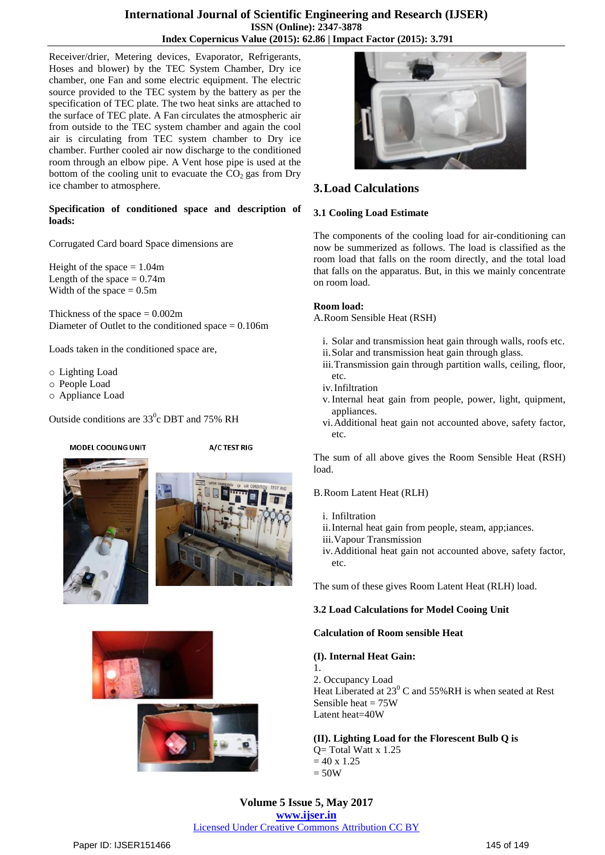## **International Journal of Scientific Engineering and Research (IJSER) ISSN (Online): 2347-3878 Index Copernicus Value (2015): 62.86 | Impact Factor (2015): 3.791**

Receiver/drier, Metering devices, Evaporator, Refrigerants, Hoses and blower) by the TEC System Chamber, Dry ice chamber, one Fan and some electric equipment. The electric source provided to the TEC system by the battery as per the specification of TEC plate. The two heat sinks are attached to the surface of TEC plate. A Fan circulates the atmospheric air from outside to the TEC system chamber and again the cool air is circulating from TEC system chamber to Dry ice chamber. Further cooled air now discharge to the conditioned room through an elbow pipe. A Vent hose pipe is used at the bottom of the cooling unit to evacuate the  $CO<sub>2</sub>$  gas from Dry ice chamber to atmosphere.

#### **Specification of conditioned space and description of loads:**

Corrugated Card board Space dimensions are

Height of the space  $= 1.04$ m Length of the space  $= 0.74$ m Width of the space  $= 0.5$ m

Thickness of the space  $= 0.002$ m Diameter of Outlet to the conditioned space = 0.106m

Loads taken in the conditioned space are,

- o Lighting Load
- o People Load
- o Appliance Load

Outside conditions are  $33^{\circ}$ c DBT and 75% RH

#### MODEL COOLING UNIT

A/C TEST RIG











# **3.Load Calculations**

#### **3.1 Cooling Load Estimate**

The components of the cooling load for air-conditioning can now be summerized as follows. The load is classified as the room load that falls on the room directly, and the total load that falls on the apparatus. But, in this we mainly concentrate on room load.

#### **Room load:**

A.Room Sensible Heat (RSH)

- i. Solar and transmission heat gain through walls, roofs etc.
- ii.Solar and transmission heat gain through glass.
- iii.Transmission gain through partition walls, ceiling, floor, etc.
- iv.Infiltration
- v.Internal heat gain from people, power, light, quipment, appliances.
- vi.Additional heat gain not accounted above, safety factor, etc.

The sum of all above gives the Room Sensible Heat (RSH) load.

#### B.Room Latent Heat (RLH)

- i. Infiltration
- ii.Internal heat gain from people, steam, app;iances.
- iii.Vapour Transmission
- iv.Additional heat gain not accounted above, safety factor, etc.

The sum of these gives Room Latent Heat (RLH) load.

## **3.2 Load Calculations for Model Cooing Unit**

#### **Calculation of Room sensible Heat**

## **(I). Internal Heat Gain:**

1. 2. Occupancy Load Heat Liberated at  $23^{\circ}$  C and 55%RH is when seated at Rest Sensible heat  $= 75W$ Latent heat=40W

**(II). Lighting Load for the Florescent Bulb Q is** Q= Total Watt x 1.25  $= 40 \times 1.25$  $= 50W$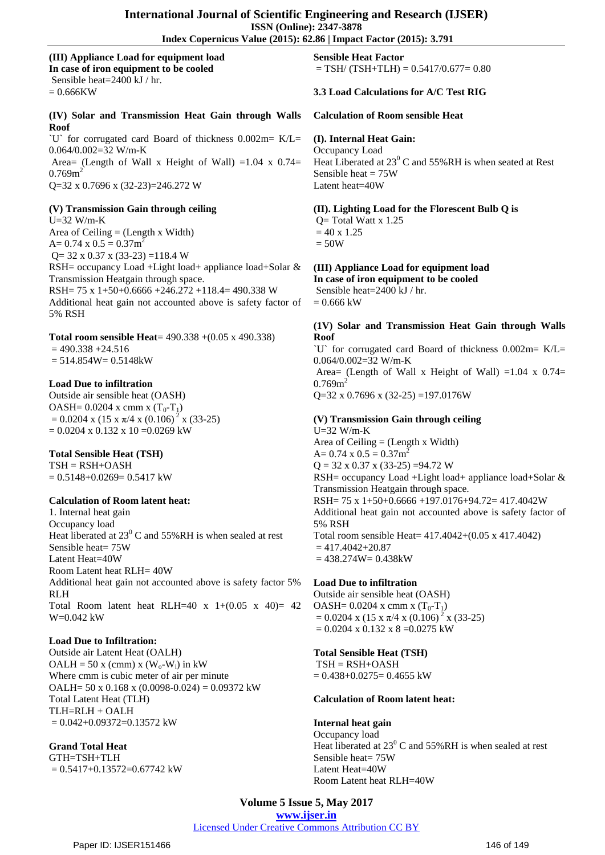# **Index Copernicus Value (2015): 62.86 | Impact Factor (2015): 3.791**

**(III) Appliance Load for equipment load In case of iron equipment to be cooled** Sensible heat=2400 kJ / hr.  $= 0.666KW$ 

**(IV) Solar and Transmission Heat Gain through Walls Roof**

`U` for corrugated card Board of thickness 0.002m= K/L= 0.064/0.002=32 W/m-K Area= (Length of Wall x Height of Wall) =1.04 x  $0.74=$  $0.769m^2$ Q=32 x 0.7696 x (32-23)=246.272 W

**(V) Transmission Gain through ceiling**

U=32 W/m-K Area of Ceiling  $=$  (Length x Width)  $A= 0.74$  x  $0.5 = 0.37$ m<sup>2</sup>  $Q = 32 \times 0.37 \times (33-23) = 118.4 W$ RSH= occupancy Load +Light load+ appliance load+Solar & Transmission Heatgain through space. RSH= 75 x 1+50+0.6666 +246.272 +118.4= 490.338 W Additional heat gain not accounted above is safety factor of 5% RSH

**Total room sensible Heat**= 490.338 +(0.05 x 490.338)  $= 490.338 + 24.516$  $= 514.854W = 0.5148kW$ 

#### **Load Due to infiltration**

Outside air sensible heat (OASH)  $OASH = 0.0204$  x cmm x  $(T_0-T_1)$  $= 0.0204$  x (15 x  $\pi/4$  x (0.106)<sup>2</sup> x (33-25)  $= 0.0204$  x 0.132 x 10 = 0.0269 kW

#### **Total Sensible Heat (TSH)**

 $TSH = RSH+OASH$  $= 0.5148 + 0.0269 = 0.5417$  kW

#### **Calculation of Room latent heat:**

1. Internal heat gain Occupancy load Heat liberated at  $23^{\circ}$  C and  $55\%$  RH is when sealed at rest Sensible heat= 75W Latent Heat=40W Room Latent heat RLH= 40W Additional heat gain not accounted above is safety factor 5% RLH Total Room latent heat RLH=40 x  $1+(0.05 \text{ x } 40)= 42$ W=0.042 kW

## **Load Due to Infiltration:**

Outside air Latent Heat (OALH) OALH = 50 x (cmm) x ( $W_0-W_1$ ) in kW Where cmm is cubic meter of air per minute OALH=  $50 \times 0.168 \times (0.0098 - 0.024) = 0.09372$  kW Total Latent Heat (TLH) TLH=RLH + OALH  $= 0.042 + 0.09372 = 0.13572$  kW

#### **Grand Total Heat** GTH=TSH+TLH

 $= 0.5417 + 0.13572 = 0.67742$  kW

**Sensible Heat Factor**  $=$  TSH/ (TSH+TLH)  $=$  0.5417/0.677 $=$  0.80

## **3.3 Load Calculations for A/C Test RIG**

#### **Calculation of Room sensible Heat**

#### **(I). Internal Heat Gain:**

Occupancy Load Heat Liberated at  $23^{\circ}$  C and  $55\%$  RH is when seated at Rest Sensible heat  $= 75W$ Latent heat=40W

**(II). Lighting Load for the Florescent Bulb Q is**

 $Q = Total Watt x 1.25$  $= 40 \times 1.25$  $= 50W$ 

**(III) Appliance Load for equipment load**

**In case of iron equipment to be cooled** Sensible heat=2400 kJ / hr.  $= 0.666$  kW

#### **(1V) Solar and Transmission Heat Gain through Walls Roof**

`U` for corrugated card Board of thickness 0.002m= K/L= 0.064/0.002=32 W/m-K Area= (Length of Wall x Height of Wall) =1.04 x  $0.74=$  $0.769m^2$  $Q=32$  x 0.7696 x (32-25) =197.0176W

**(V) Transmission Gain through ceiling** U=32 W/m-K Area of Ceiling  $=$  (Length x Width)  $A= 0.74$  x  $0.5 = 0.37$  $m<sup>2</sup>$  $Q = 32 \times 0.37 \times (33-25) = 94.72 W$ RSH= occupancy Load +Light load+ appliance load+Solar & Transmission Heatgain through space. RSH= 75 x 1+50+0.6666 +197.0176+94.72= 417.4042W Additional heat gain not accounted above is safety factor of 5% RSH Total room sensible Heat= 417.4042+(0.05 x 417.4042)  $= 417.4042 + 20.87$  $= 438.274W = 0.438kW$ 

**Load Due to infiltration** Outside air sensible heat (OASH) OASH=  $0.0204$  x cmm x  $(T_0-T_1)$  $= 0.0204$  x (15 x  $\pi$ /4 x (0.106)<sup>2</sup> x (33-25)  $= 0.0204$  x 0.132 x 8 = 0.0275 kW

# **Total Sensible Heat (TSH)**

 $TSH = RSH+OASH$  $= 0.438 + 0.0275 = 0.4655$  kW

#### **Calculation of Room latent heat:**

**Internal heat gain** Occupancy load Heat liberated at  $23^{\circ}$  C and 55%RH is when sealed at rest Sensible heat= 75W Latent Heat=40W Room Latent heat RLH=40W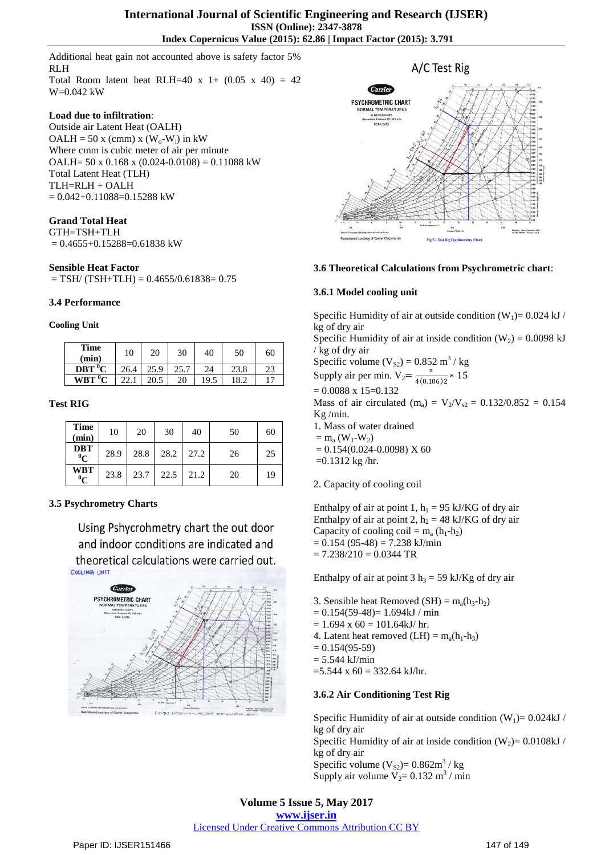Additional heat gain not accounted above is safety factor 5% RLH Total Room latent heat RLH=40 x 1+  $(0.05 \times 40) = 42$ 

#### **Load due to infiltration**:

W=0.042 kW

Outside air Latent Heat (OALH) OALH = 50 x (cmm) x ( $W_0$ - $W_i$ ) in kW Where cmm is cubic meter of air per minute OALH=  $50 \times 0.168 \times (0.024 - 0.0108) = 0.11088$  kW Total Latent Heat (TLH) TLH=RLH + OALH  $= 0.042 + 0.11088 = 0.15288$  kW

## **Grand Total Heat**

GTH=TSH+TLH  $= 0.4655 + 0.15288 = 0.61838$  kW

#### **Sensible Heat Factor**

 $=$  TSH/ (TSH+TLH) = 0.4655/0.61838= 0.75

#### **3.4 Performance**

#### **Cooling Unit**

| <b>Time</b><br>(min) | 10   | 20   | 30   | 40   | 50   | 60 |
|----------------------|------|------|------|------|------|----|
| $DBT$ <sup>0</sup> C | 26.4 | 25.9 | 25.7 | 24   | 23.8 | 23 |
| $WBT$ <sup>0</sup> C |      | 20.5 | 20   | 19.5 | 18.2 |    |

#### **Test RIG**

| <b>Time</b><br>(min)       | 10   | 20   | 30   | 40   | 50 | 60 |
|----------------------------|------|------|------|------|----|----|
| <b>DBT</b><br>$\mathbf{C}$ | 28.9 | 28.8 | 28.2 | 27.2 | 26 | 25 |
| <b>WBT</b><br>$\mathbf{C}$ | 23.8 | 23.7 | 22.5 | 21.2 | 20 | 19 |

## **3.5 Psychrometry Charts**

Using Pshycrohmetry chart the out door and indoor conditions are indicated and theoretical calculations were carried out.





#### **3.6 Theoretical Calculations from Psychrometric chart**:

#### **3.6.1 Model cooling unit**

Specific Humidity of air at outside condition  $(W_1)= 0.024$  kJ / kg of dry air

Specific Humidity of air at inside condition  $(W_2) = 0.0098 \text{ kJ}$ / kg of dry air

Specific volume  $(V_{S2}) = 0.852 \text{ m}^3/\text{kg}$ Supply air per min.  $V_2 = \frac{\pi}{4(0.11)}$  $\frac{1}{4(0.106)2}$  \* 15

 $= 0.0088$  x 15=0.132 Mass of air circulated (m<sub>a</sub>) =  $V_2/V_{s2} = 0.132/0.852 = 0.154$ Kg /min. 1. Mass of water drained

 $=$  m<sub>a</sub> (W<sub>1</sub>-W<sub>2</sub>)

 $= 0.154(0.024 - 0.0098)$  X 60

 $=0.1312$  kg/hr.

2. Capacity of cooling coil

Enthalpy of air at point 1,  $h_1 = 95$  kJ/KG of dry air Enthalpy of air at point 2,  $h_2 = 48$  kJ/KG of dry air Capacity of cooling coil =  $m_a$  (h<sub>1</sub>-h<sub>2</sub>)  $= 0.154 (95-48) = 7.238$  kJ/min  $= 7.238/210 = 0.0344$  TR

Enthalpy of air at point  $3 h_3 = 59$  kJ/Kg of dry air

- 3. Sensible heat Removed  $(SH) = m_a(h_3-h_2)$
- $= 0.154(59-48) = 1.694kJ / min$
- $= 1.694$  x 60 = 101.64kJ/ hr. 4. Latent heat removed  $(LH) = m_a(h_1-h_3)$
- 
- $= 0.154(95-59)$  $= 5.544$  kJ/min
- $=$  5.544 x 60 = 332.64 kJ/hr.

#### **3.6.2 Air Conditioning Test Rig**

Specific Humidity of air at outside condition  $(W_1)= 0.024kJ$  / kg of dry air Specific Humidity of air at inside condition  $(W_2)= 0.0108kJ/$ kg of dry air Specific volume  $(V_{S2}) = 0.862 \text{m}^3$  / kg Supply air volume  $V_2 = 0.132 \text{ m}^3 / \text{min}$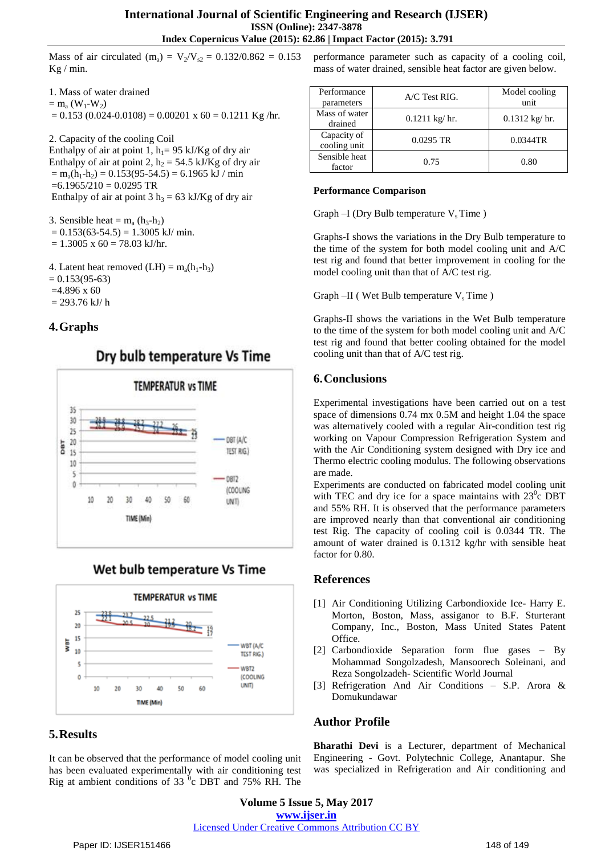$Kg / min$ .

1. Mass of water drained  $=$  m<sub>a</sub> (W<sub>1</sub>-W<sub>2</sub>)  $= 0.153$  (0.024-0.0108) = 0.00201 x 60 = 0.1211 Kg/hr.

2. Capacity of the cooling Coil Enthalpy of air at point 1,  $h_1$  = 95 kJ/Kg of dry air Enthalpy of air at point 2,  $h_2 = 54.5$  kJ/Kg of dry air  $=$  m<sub>a</sub>(h<sub>1</sub>-h<sub>2</sub>) = 0.153(95-54.5) = 6.1965 kJ / min  $=6.1965/210 = 0.0295$  TR Enthalpy of air at point  $3 h_3 = 63 \text{ kJ/Kg}$  of dry air

3. Sensible heat =  $m_a$  (h<sub>3</sub>-h<sub>2</sub>)  $= 0.153(63-54.5) = 1.3005$  kJ/ min.  $= 1.3005$  x 60 = 78.03 kJ/hr.

4. Latent heat removed  $(LH) = m_a(h_1-h_3)$  $= 0.153(95-63)$  $=4.896 \times 60$  $= 293.76$  kJ/h

# **4.Graphs**







# **5.Results**

It can be observed that the performance of model cooling unit has been evaluated experimentally with air conditioning test Rig at ambient conditions of 33 ${}^{0}$ c DBT and 75% RH. The

Mass of air circulated (m<sub>a</sub>) =  $V_2/V_{s2} = 0.132/0.862 = 0.153$  performance parameter such as capacity of a cooling coil, mass of water drained, sensible heat factor are given below.

| Performance<br>parameters   | $A/C$ Test RIG.         | Model cooling<br>unit |  |
|-----------------------------|-------------------------|-----------------------|--|
| Mass of water<br>drained    | $0.1211 \text{ kg/hr}.$ | $0.1312$ kg/ hr.      |  |
| Capacity of<br>cooling unit | $0.0295$ TR             | 0.0344TR              |  |
| Sensible heat<br>factor     | 0.75                    | 0.80                  |  |

## **Performance Comparison**

Graph  $-I$  (Dry Bulb temperature  $V_s$  Time)

Graphs-I shows the variations in the Dry Bulb temperature to the time of the system for both model cooling unit and A/C test rig and found that better improvement in cooling for the model cooling unit than that of A/C test rig.

Graph –II (Wet Bulb temperature  $V_s$  Time)

Graphs-II shows the variations in the Wet Bulb temperature to the time of the system for both model cooling unit and A/C test rig and found that better cooling obtained for the model cooling unit than that of A/C test rig.

# **6.Conclusions**

Experimental investigations have been carried out on a test space of dimensions 0.74 mx 0.5M and height 1.04 the space was alternatively cooled with a regular Air-condition test rig working on Vapour Compression Refrigeration System and with the Air Conditioning system designed with Dry ice and Thermo electric cooling modulus. The following observations are made.

Experiments are conducted on fabricated model cooling unit with TEC and dry ice for a space maintains with  $23^{\circ}$ c DBT and 55% RH. It is observed that the performance parameters are improved nearly than that conventional air conditioning test Rig. The capacity of cooling coil is 0.0344 TR. The amount of water drained is 0.1312 kg/hr with sensible heat factor for 0.80.

# **References**

- [1] Air Conditioning Utilizing Carbondioxide Ice- Harry E. Morton, Boston, Mass, assiganor to B.F. Sturterant Company, Inc., Boston, Mass United States Patent Office.
- [2] Carbondioxide Separation form flue gases By Mohammad Songolzadesh, Mansoorech Soleinani, and Reza Songolzadeh- Scientific World Journal
- [3] Refrigeration And Air Conditions S.P. Arora & Domukundawar

# **Author Profile**

**Bharathi Devi** is a Lecturer, department of Mechanical Engineering - Govt. Polytechnic College, Anantapur. She was specialized in Refrigeration and Air conditioning and